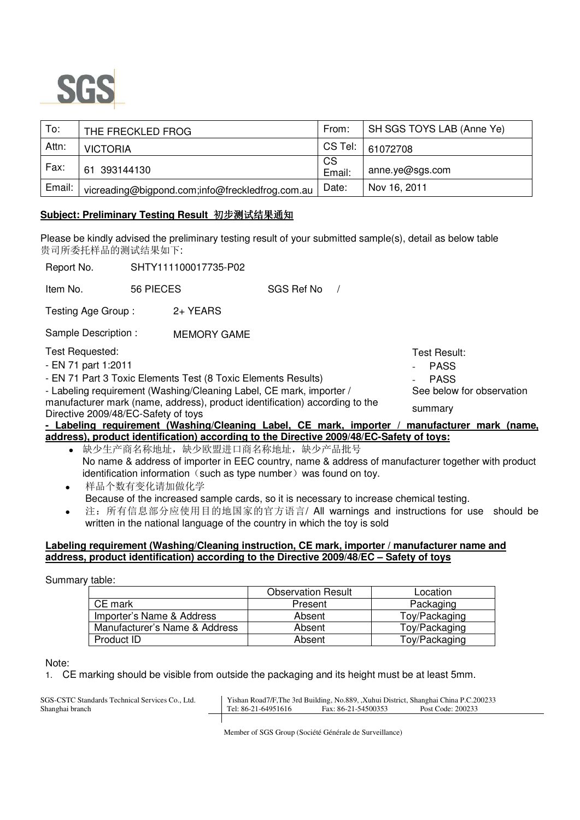

| To:    | THE FRECKLED FROG                               | From:        | SH SGS TOYS LAB (Anne Ye) |
|--------|-------------------------------------------------|--------------|---------------------------|
| Attn:  | <b>VICTORIA</b>                                 | CS Tel:      | 61072708                  |
| Fax:   | 61 393144130                                    | CS<br>Email: | anne.ye@sgs.com           |
| Email: | vicreading@bigpond.com;info@freckledfrog.com.au | Date:        | Nov 16, 2011              |

## **Subject: Preliminary Testing Result** 初步测试结果通知

Please be kindly advised the preliminary testing result of your submitted sample(s), detail as below table 贵司所委托样品的测试结果如下:

| Report No.                                                                                                         |           | SHTY111100017735-P02 |            |  |                               |
|--------------------------------------------------------------------------------------------------------------------|-----------|----------------------|------------|--|-------------------------------|
| Item No.                                                                                                           | 56 PIECES |                      | SGS Ref No |  |                               |
| Testing Age Group:                                                                                                 |           | 2+ YEARS             |            |  |                               |
| Sample Description :                                                                                               |           | <b>MEMORY GAME</b>   |            |  |                               |
| Test Requested:                                                                                                    |           |                      |            |  | Test Result:                  |
| - EN 71 part 1:2011                                                                                                |           |                      |            |  | <b>PASS</b><br>$\blacksquare$ |
| - EN 71 Part 3 Toxic Elements Test (8 Toxic Elements Results)                                                      |           | <b>PASS</b>          |            |  |                               |
| - Labeling requirement (Washing/Cleaning Label, CE mark, importer /                                                |           |                      |            |  | See below for observation     |
| manufacturer mark (name, address), product identification) according to the<br>Directive 2009/48/EC-Safety of toys |           |                      |            |  | summary                       |

**- Labeling requirement (Washing/Cleaning Label, CE mark, importer / manufacturer mark (name, address), product identification) according to the Directive 2009/48/EC-Safety of toys:**

- 缺少生产商名称地址,缺少欧盟进口商名称地址,缺少产品批号 No name & address of importer in EEC country, name & address of manufacturer together with product identification information (such as type number) was found on toy.
- 样品个数有变化请加做化学 Because of the increased sample cards, so it is necessary to increase chemical testing.
- 注:所有信息部分应使用目的地国家的官方语言/ All warnings and instructions for use should be written in the national language of the country in which the toy is sold

## **Labeling requirement (Washing/Cleaning instruction, CE mark, importer / manufacturer name and address, product identification) according to the Directive 2009/48/EC – Safety of toys**

Summary table:

|                               | <b>Observation Result</b> | Location      |
|-------------------------------|---------------------------|---------------|
| CE mark                       | Present                   | Packaging     |
| Importer's Name & Address     | Absent                    | Toy/Packaging |
| Manufacturer's Name & Address | Absent                    | Toy/Packaging |
| Product ID                    | Absent                    | Toy/Packaging |

Note:

1. CE marking should be visible from outside the packaging and its height must be at least 5mm.

SGS-CSTC Standards Technical Services Co., Ltd. Yishan Road7/F,The 3rd Building, No.889, ,Xuhui District, Shanghai China P.C.200233<br>Tel: 86-21-64951616 Fax: 86-21-54500353 Post Code: 200233 Tel: 86-21-64951616

Member of SGS Group (Société Générale de Surveillance)